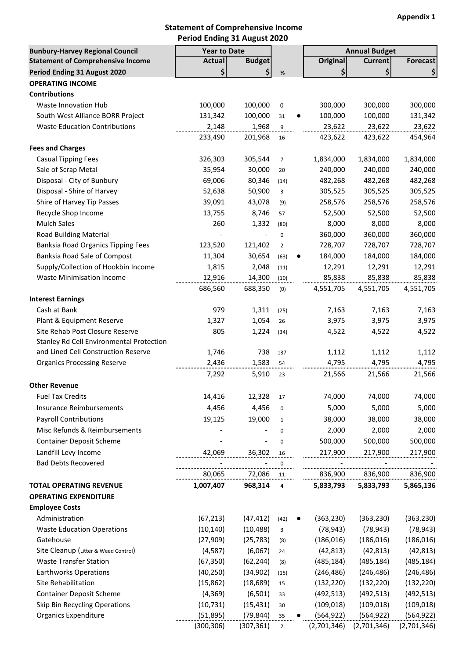#### Statement of Comprehensive Income Period Ending 31 August 2020

| <b>Bunbury-Harvey Regional Council</b>   | <b>Year to Date</b> |                        |                |           |                 | <b>Annual Budget</b> |                 |
|------------------------------------------|---------------------|------------------------|----------------|-----------|-----------------|----------------------|-----------------|
| <b>Statement of Comprehensive Income</b> | Actual              | <b>Budget</b>          |                |           | <b>Original</b> | <b>Current</b>       | <b>Forecast</b> |
| Period Ending 31 August 2020             | \$                  | $\left  \right\rangle$ | $\%$           |           | \$              | \$                   | \$              |
| <b>OPERATING INCOME</b>                  |                     |                        |                |           |                 |                      |                 |
| <b>Contributions</b>                     |                     |                        |                |           |                 |                      |                 |
| Waste Innovation Hub                     | 100,000             | 100,000                | 0              |           | 300,000         | 300,000              | 300,000         |
| South West Alliance BORR Project         | 131,342             | 100,000                | 31             | $\bullet$ | 100,000         | 100,000              | 131,342         |
| <b>Waste Education Contributions</b>     | 2,148               | 1,968                  | $\overline{9}$ |           | 23,622          | 23,622               | 23,622          |
|                                          | 233,490             | 201,968                | 16             |           | 423,622         | 423,622              | 454,964         |
| <b>Fees and Charges</b>                  |                     |                        |                |           |                 |                      |                 |
| <b>Casual Tipping Fees</b>               | 326,303             | 305,544                | $\overline{7}$ |           | 1,834,000       | 1,834,000            | 1,834,000       |
| Sale of Scrap Metal                      | 35,954              | 30,000                 | 20             |           | 240,000         | 240,000              | 240,000         |
| Disposal - City of Bunbury               | 69,006              | 80,346                 | (14)           |           | 482,268         | 482,268              | 482,268         |
| Disposal - Shire of Harvey               | 52,638              | 50,900                 | 3              |           | 305,525         | 305,525              | 305,525         |
| Shire of Harvey Tip Passes               | 39,091              | 43,078                 | (9)            |           | 258,576         | 258,576              | 258,576         |
| Recycle Shop Income                      | 13,755              | 8,746                  | 57             |           | 52,500          | 52,500               | 52,500          |
| <b>Mulch Sales</b>                       | 260                 | 1,332                  | (80)           |           | 8,000           | 8,000                | 8,000           |
| Road Building Material                   |                     | $\blacksquare$         | 0              |           | 360,000         | 360,000              | 360,000         |
| Banksia Road Organics Tipping Fees       | 123,520             | 121,402                | $\overline{2}$ |           | 728,707         | 728,707              | 728,707         |
| Banksia Road Sale of Compost             | 11,304              | 30,654                 | (63)           | $\bullet$ | 184,000         | 184,000              | 184,000         |
| Supply/Collection of Hookbin Income      | 1,815               | 2,048                  | (11)           |           | 12,291          | 12,291               | 12,291          |
| <b>Waste Minimisation Income</b>         | 12,916              | 14,300                 | (10)           |           | 85,838          | 85,838               | 85,838          |
|                                          | 686,560             | 688,350                | (0)            |           | 4,551,705       | 4,551,705            | 4,551,705       |
| <b>Interest Earnings</b>                 |                     |                        |                |           |                 |                      |                 |
| Cash at Bank                             | 979                 | 1,311                  | (25)           |           | 7,163           | 7,163                | 7,163           |
| Plant & Equipment Reserve                | 1,327               | 1,054                  | 26             |           | 3,975           | 3,975                | 3,975           |
| Site Rehab Post Closure Reserve          | 805                 | 1,224                  | (34)           |           | 4,522           | 4,522                | 4,522           |
| Stanley Rd Cell Environmental Protection |                     |                        |                |           |                 |                      |                 |
| and Lined Cell Construction Reserve      | 1,746               | 738                    | 137            |           | 1,112           | 1,112                | 1,112           |
| <b>Organics Processing Reserve</b>       | 2,436               | 1,583                  | 54             |           | 4,795           | 4,795                | 4,795           |
|                                          | 7,292               | 5,910                  | 23             |           | 21,566          | 21,566               | 21,566          |
| <b>Other Revenue</b>                     |                     |                        |                |           |                 |                      |                 |
| <b>Fuel Tax Credits</b>                  | 14,416              | 12,328                 | 17             |           | 74,000          | 74,000               | 74,000          |
| Insurance Reimbursements                 | 4,456               | 4,456                  | 0              |           | 5,000           | 5,000                | 5,000           |
| <b>Payroll Contributions</b>             | 19,125              | 19,000                 | $\mathbf{1}$   |           | 38,000          | 38,000               | 38,000          |
| Misc Refunds & Reimbursements            |                     |                        | 0              |           | 2,000           | 2,000                | 2,000           |
| <b>Container Deposit Scheme</b>          |                     | $\overline{a}$         | 0              |           | 500,000         | 500,000              | 500,000         |
| Landfill Levy Income                     | 42,069              | 36,302                 | 16             |           | 217,900         | 217,900              | 217,900         |
| <b>Bad Debts Recovered</b>               |                     |                        | 0<br>          |           |                 |                      |                 |
|                                          | 80,065              | 72,086                 | 11             |           | 836,900         | 836,900              | 836,900         |
| <b>TOTAL OPERATING REVENUE</b>           | 1,007,407           | 968,314                | 4              |           | 5,833,793       | 5,833,793            | 5,865,136       |
| <b>OPERATING EXPENDITURE</b>             |                     |                        |                |           |                 |                      |                 |
| <b>Employee Costs</b>                    |                     |                        |                |           |                 |                      |                 |
| Administration                           | (67, 213)           | (47, 412)              | (42)           | $\bullet$ | (363, 230)      | (363, 230)           | (363, 230)      |
| <b>Waste Education Operations</b>        | (10, 140)           | (10, 488)              | 3              |           | (78, 943)       | (78, 943)            | (78, 943)       |
| Gatehouse                                | (27, 909)           | (25, 783)              | (8)            |           | (186, 016)      | (186, 016)           | (186, 016)      |
| Site Cleanup (Litter & Weed Control)     | (4, 587)            | (6,067)                | 24             |           | (42, 813)       | (42, 813)            | (42, 813)       |
| <b>Waste Transfer Station</b>            | (67, 350)           | (62, 244)              | (8)            |           | (485, 184)      | (485, 184)           | (485, 184)      |
| <b>Earthworks Operations</b>             | (40, 250)           | (34, 902)              | (15)           |           | (246, 486)      | (246, 486)           | (246, 486)      |
| Site Rehabilitation                      | (15, 862)           | (18, 689)              | 15             |           | (132, 220)      | (132, 220)           | (132, 220)      |
| <b>Container Deposit Scheme</b>          | (4, 369)            | (6, 501)               | 33             |           | (492, 513)      | (492, 513)           | (492, 513)      |
| Skip Bin Recycling Operations            | (10, 731)           | (15, 431)              | 30             |           | (109, 018)      | (109, 018)           | (109, 018)      |
| <b>Organics Expenditure</b>              | (51,895)            | (79, 844)              | 35             |           | (564, 922)      | (564, 922)           | (564, 922)      |
|                                          | (300, 306)          | (307, 361)             | $\overline{2}$ |           | (2,701,346)     | (2,701,346)          | (2,701,346)     |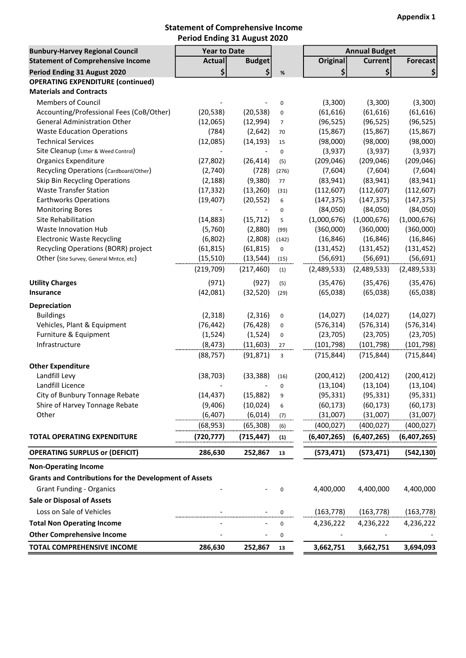### Statement of Comprehensive Income Period Ending 31 August 2020

| <b>Bunbury-Harvey Regional Council</b>                        | <b>Year to Date</b> |               |                |             | <b>Annual Budget</b> |                 |
|---------------------------------------------------------------|---------------------|---------------|----------------|-------------|----------------------|-----------------|
| <b>Statement of Comprehensive Income</b>                      | <b>Actual</b>       | <b>Budget</b> |                | Original    | <b>Current</b>       | <b>Forecast</b> |
| Period Ending 31 August 2020                                  | \$                  | \$            | $\%$           | \$          | \$                   | \$              |
| <b>OPERATING EXPENDITURE (continued)</b>                      |                     |               |                |             |                      |                 |
| <b>Materials and Contracts</b>                                |                     |               |                |             |                      |                 |
| <b>Members of Council</b>                                     |                     |               | 0              | (3,300)     | (3,300)              | (3,300)         |
| Accounting/Professional Fees (CoB/Other)                      | (20, 538)           | (20, 538)     | $\pmb{0}$      | (61, 616)   | (61, 616)            | (61, 616)       |
| <b>General Administration Other</b>                           | (12,065)            | (12,994)      | $\overline{7}$ | (96, 525)   | (96, 525)            | (96, 525)       |
| <b>Waste Education Operations</b>                             | (784)               | (2,642)       | 70             | (15, 867)   | (15, 867)            | (15, 867)       |
| <b>Technical Services</b>                                     | (12,085)            | (14, 193)     | 15             | (98,000)    | (98,000)             | (98,000)        |
| Site Cleanup (Litter & Weed Control)                          |                     |               | $\pmb{0}$      | (3,937)     | (3,937)              | (3,937)         |
| <b>Organics Expenditure</b>                                   | (27, 802)           | (26, 414)     | (5)            | (209, 046)  | (209, 046)           | (209, 046)      |
| Recycling Operations (Cardboard/Other)                        | (2,740)             | (728)         | (276)          | (7,604)     | (7,604)              | (7,604)         |
| Skip Bin Recycling Operations                                 | (2, 188)            | (9,380)       | 77             | (83, 941)   | (83, 941)            | (83, 941)       |
| <b>Waste Transfer Station</b>                                 | (17, 332)           | (13, 260)     | (31)           | (112, 607)  | (112, 607)           | (112, 607)      |
| <b>Earthworks Operations</b>                                  | (19, 407)           | (20, 552)     | 6              | (147, 375)  | (147, 375)           | (147, 375)      |
| <b>Monitoring Bores</b>                                       |                     |               | 0              | (84,050)    | (84,050)             | (84,050)        |
| Site Rehabilitation                                           | (14, 883)           | (15, 712)     | 5              | (1,000,676) | (1,000,676)          | (1,000,676)     |
| Waste Innovation Hub                                          | (5,760)             | (2,880)       | (99)           | (360,000)   | (360,000)            | (360,000)       |
| <b>Electronic Waste Recycling</b>                             | (6,802)             | (2,808)       | (142)          | (16, 846)   | (16, 846)            | (16, 846)       |
| Recycling Operations (BORR) project                           | (61, 815)           | (61, 815)     | $\pmb{0}$      | (131, 452)  | (131, 452)           | (131, 452)      |
| Other (Site Survey, General Mntce, etc)                       | (15, 510)           | (13, 544)     | (15)           | (56, 691)   | (56, 691)            | (56, 691)       |
|                                                               | (219, 709)          | (217, 460)    | (1)            | (2,489,533) | (2,489,533)          | (2,489,533)     |
| <b>Utility Charges</b>                                        | (971)               | (927)         | (5)            | (35, 476)   | (35, 476)            | (35, 476)       |
| Insurance                                                     | (42,081)            | (32, 520)     | (29)           | (65,038)    | (65,038)             | (65,038)        |
| Depreciation                                                  |                     |               |                |             |                      |                 |
| <b>Buildings</b>                                              | (2, 318)            | (2, 316)      | $\pmb{0}$      | (14, 027)   | (14, 027)            | (14, 027)       |
| Vehicles, Plant & Equipment                                   | (76, 442)           | (76, 428)     | $\pmb{0}$      | (576, 314)  | (576, 314)           | (576, 314)      |
| Furniture & Equipment                                         | (1, 524)            | (1, 524)      | $\pmb{0}$      | (23, 705)   | (23, 705)            | (23, 705)       |
| Infrastructure                                                | (8, 473)            | (11, 603)     | 27             | (101, 798)  | (101, 798)           | (101, 798)      |
|                                                               | (88, 757)           | (91, 871)     | 3              | (715, 844)  | (715, 844)           | (715, 844)      |
| <b>Other Expenditure</b>                                      |                     |               |                |             |                      |                 |
| Landfill Levy                                                 | (38, 703)           | (33, 388)     | (16)           | (200, 412)  | (200, 412)           | (200, 412)      |
| Landfill Licence                                              |                     |               | 0              | (13, 104)   | (13, 104)            | (13, 104)       |
| City of Bunbury Tonnage Rebate                                | (14, 437)           | (15, 882)     | 9              | (95, 331)   | (95, 331)            | (95, 331)       |
| Shire of Harvey Tonnage Rebate                                | (9,406)             | (10, 024)     | 6              | (60, 173)   | (60, 173)            | (60, 173)       |
| Other                                                         | (6, 407)            | (6,014)       |                | (31,007)    | (31,007)             | (31,007)        |
|                                                               |                     |               | (7)            |             |                      |                 |
|                                                               | (68, 953)           | (65, 308)     | (6)            | (400, 027)  | (400, 027)           | (400,027)       |
| <b>TOTAL OPERATING EXPENDITURE</b>                            | (720,777)           | (715,447)     | (1)            | (6,407,265) | (6,407,265)          | (6,407,265)     |
| <b>OPERATING SURPLUS or (DEFICIT)</b>                         | 286,630             | 252,867       | 13             | (573, 471)  | (573, 471)           | (542, 130)      |
| <b>Non-Operating Income</b>                                   |                     |               |                |             |                      |                 |
| <b>Grants and Contributions for the Development of Assets</b> |                     |               |                |             |                      |                 |
| <b>Grant Funding - Organics</b>                               |                     |               | 0              | 4,400,000   | 4,400,000            | 4,400,000       |
| <b>Sale or Disposal of Assets</b>                             |                     |               |                |             |                      |                 |
| Loss on Sale of Vehicles                                      |                     |               | 0              | (163, 778)  | (163, 778)           | (163, 778)      |
| <b>Total Non Operating Income</b>                             |                     |               | 0              | 4,236,222   | 4,236,222            | 4,236,222       |
| <b>Other Comprehensive Income</b>                             |                     |               | 0              |             |                      |                 |
| TOTAL COMPREHENSIVE INCOME                                    | 286,630             | 252,867       | 13             | 3,662,751   | 3,662,751            | 3,694,093       |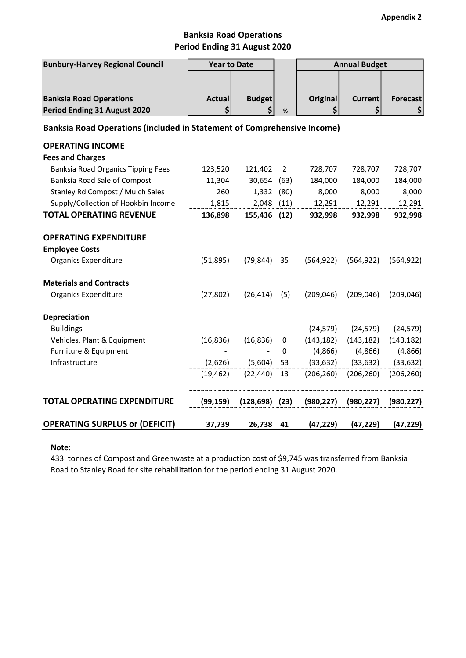### Banksia Road Operations Period Ending 31 August 2020

| <b>Bunbury-Harvey Regional Council</b>                                  | <b>Year to Date</b> |               |                | <b>Annual Budget</b> |                |                 |  |
|-------------------------------------------------------------------------|---------------------|---------------|----------------|----------------------|----------------|-----------------|--|
|                                                                         |                     |               |                |                      |                |                 |  |
| <b>Banksia Road Operations</b>                                          | <b>Actual</b>       | <b>Budget</b> |                | <b>Original</b>      | <b>Current</b> | <b>Forecast</b> |  |
| Period Ending 31 August 2020                                            | \$                  | \$            | %              | \$                   | \$             | \$              |  |
| Banksia Road Operations (included in Statement of Comprehensive Income) |                     |               |                |                      |                |                 |  |
| <b>OPERATING INCOME</b>                                                 |                     |               |                |                      |                |                 |  |
| <b>Fees and Charges</b>                                                 |                     |               |                |                      |                |                 |  |
| <b>Banksia Road Organics Tipping Fees</b>                               | 123,520             | 121,402       | $\overline{2}$ | 728,707              | 728,707        | 728,707         |  |
| Banksia Road Sale of Compost                                            | 11,304              | 30,654        | (63)           | 184,000              | 184,000        | 184,000         |  |
| Stanley Rd Compost / Mulch Sales                                        | 260                 | 1,332         | (80)           | 8,000                | 8,000          | 8,000           |  |
| Supply/Collection of Hookbin Income                                     | 1,815               | 2,048         | (11)           | 12,291               | 12,291         | 12,291          |  |
| <b>TOTAL OPERATING REVENUE</b>                                          | 136,898             | 155,436       | (12)           | 932,998              | 932,998        | 932,998         |  |
| <b>OPERATING EXPENDITURE</b>                                            |                     |               |                |                      |                |                 |  |
| <b>Employee Costs</b>                                                   |                     |               |                |                      |                |                 |  |
| <b>Organics Expenditure</b>                                             | (51,895)            | (79, 844)     | 35             | (564, 922)           | (564, 922)     | (564, 922)      |  |
| <b>Materials and Contracts</b>                                          |                     |               |                |                      |                |                 |  |
| <b>Organics Expenditure</b>                                             | (27, 802)           | (26, 414)     | (5)            | (209, 046)           | (209, 046)     | (209, 046)      |  |
| <b>Depreciation</b>                                                     |                     |               |                |                      |                |                 |  |
| <b>Buildings</b>                                                        |                     |               |                | (24, 579)            | (24, 579)      | (24, 579)       |  |
| Vehicles, Plant & Equipment                                             | (16, 836)           | (16, 836)     | 0              | (143, 182)           | (143, 182)     | (143, 182)      |  |
| Furniture & Equipment                                                   |                     |               | 0              | (4,866)              | (4,866)        | (4,866)         |  |
| Infrastructure                                                          | (2,626)             | (5,604)       | 53             | (33, 632)            | (33, 632)      | (33, 632)       |  |
|                                                                         | (19, 462)           | (22, 440)     | 13             | (206, 260)           | (206, 260)     | (206, 260)      |  |
| <b>TOTAL OPERATING EXPENDITURE</b>                                      | (99, 159)           | (128, 698)    | (23)           | (980, 227)           | (980, 227)     | (980, 227)      |  |
| <b>OPERATING SURPLUS or (DEFICIT)</b>                                   | 37,739              | 26,738        | 41             | (47, 229)            | (47, 229)      | (47, 229)       |  |

#### Note:

433 tonnes of Compost and Greenwaste at a production cost of \$9,745 was transferred from Banksia Road to Stanley Road for site rehabilitation for the period ending 31 August 2020.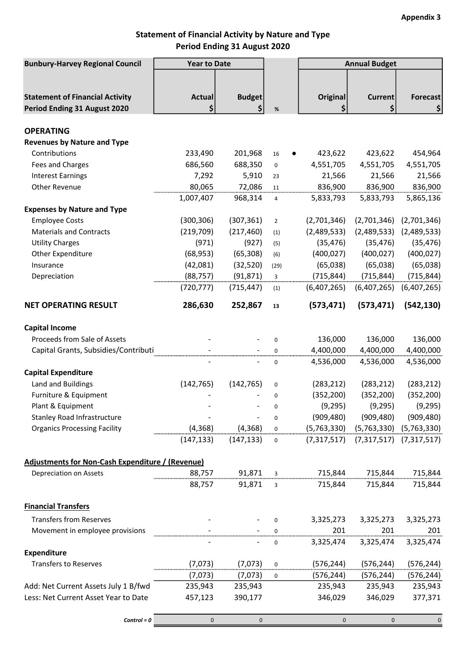## Statement of Financial Activity by Nature and Type Period Ending 31 August 2020

| <b>Bunbury-Harvey Regional Council</b>                  | <b>Year to Date</b> |                 |                | <b>Annual Budget</b> |                   |                      |  |
|---------------------------------------------------------|---------------------|-----------------|----------------|----------------------|-------------------|----------------------|--|
|                                                         |                     |                 |                |                      |                   |                      |  |
|                                                         |                     |                 |                |                      |                   |                      |  |
| <b>Statement of Financial Activity</b>                  | <b>Actual</b>       | <b>Budget</b>   |                | Original             | <b>Current</b>    | <b>Forecast</b>      |  |
| Period Ending 31 August 2020                            | \$                  | \$              | $\%$           | \$                   | \$                | \$                   |  |
|                                                         |                     |                 |                |                      |                   |                      |  |
| <b>OPERATING</b>                                        |                     |                 |                |                      |                   |                      |  |
| <b>Revenues by Nature and Type</b>                      |                     |                 |                |                      |                   |                      |  |
| Contributions                                           | 233,490             | 201,968         | 16             | 423,622              | 423,622           | 454,964              |  |
| Fees and Charges                                        | 686,560             | 688,350         | 0              | 4,551,705            | 4,551,705         | 4,551,705            |  |
| <b>Interest Earnings</b><br>Other Revenue               | 7,292<br>80,065     | 5,910<br>72,086 | 23             | 21,566               | 21,566<br>836,900 | 21,566               |  |
|                                                         | 1,007,407           | 968,314         | 11<br>4        | 836,900<br>5,833,793 | 5,833,793         | 836,900<br>5,865,136 |  |
| <b>Expenses by Nature and Type</b>                      |                     |                 |                |                      |                   |                      |  |
| <b>Employee Costs</b>                                   | (300, 306)          | (307, 361)      | $\overline{2}$ | (2,701,346)          | (2,701,346)       | (2,701,346)          |  |
| <b>Materials and Contracts</b>                          | (219, 709)          | (217, 460)      | (1)            | (2,489,533)          | (2,489,533)       | (2,489,533)          |  |
| <b>Utility Charges</b>                                  | (971)               | (927)           | (5)            | (35, 476)            | (35, 476)         | (35, 476)            |  |
| Other Expenditure                                       | (68, 953)           | (65, 308)       | (6)            | (400, 027)           | (400, 027)        | (400, 027)           |  |
| Insurance                                               | (42,081)            | (32, 520)       | (29)           | (65,038)             | (65,038)          | (65, 038)            |  |
| Depreciation                                            | (88, 757)           | (91, 871)       | 3              | (715, 844)           | (715, 844)        | (715, 844)           |  |
|                                                         | (720, 777)          | (715, 447)      | (1)            | (6,407,265)          | (6,407,265)       | (6,407,265)          |  |
|                                                         |                     |                 |                |                      |                   |                      |  |
| <b>NET OPERATING RESULT</b>                             | 286,630             | 252,867         | 13             | (573, 471)           | (573, 471)        | (542, 130)           |  |
| <b>Capital Income</b>                                   |                     |                 |                |                      |                   |                      |  |
| Proceeds from Sale of Assets                            |                     |                 | $\mathbf 0$    | 136,000              | 136,000           | 136,000              |  |
| Capital Grants, Subsidies/Contributi                    |                     |                 | 0              | 4,400,000            | 4,400,000         | 4,400,000            |  |
|                                                         |                     |                 | 0              | 4,536,000            | 4,536,000         | 4,536,000            |  |
| <b>Capital Expenditure</b>                              |                     |                 |                |                      |                   |                      |  |
| Land and Buildings                                      | (142, 765)          | (142, 765)      | 0              | (283, 212)           | (283, 212)        | (283, 212)           |  |
| Furniture & Equipment                                   |                     |                 | 0              | (352, 200)           | (352, 200)        | (352, 200)           |  |
| Plant & Equipment                                       |                     |                 | 0              | (9, 295)             | (9, 295)          | (9,295)              |  |
| <b>Stanley Road Infrastructure</b>                      |                     |                 | 0              | (909, 480)           | (909, 480)        | (909, 480)           |  |
| <b>Organics Processing Facility</b>                     | (4, 368)            | (4, 368)        | 0              | (5,763,330)          | (5,763,330)       | (5,763,330)          |  |
|                                                         | (147, 133)          | (147, 133)      | 0              | (7,317,517)          | (7,317,517)       | (7,317,517)          |  |
| <b>Adjustments for Non-Cash Expenditure / (Revenue)</b> |                     |                 |                |                      |                   |                      |  |
| Depreciation on Assets                                  | 88,757              | 91,871          | 3              | 715,844              | 715,844           | 715,844              |  |
|                                                         | 88,757              | 91,871          | 3              | 715,844              | 715,844           | 715,844              |  |
| <b>Financial Transfers</b>                              |                     |                 |                |                      |                   |                      |  |
| <b>Transfers from Reserves</b>                          |                     |                 | 0              | 3,325,273            | 3,325,273         | 3,325,273            |  |
| Movement in employee provisions                         |                     |                 |                | 201                  | 201               | 201                  |  |
|                                                         |                     |                 | 0              | 3,325,474            | 3,325,474         | 3,325,474            |  |
| Expenditure                                             |                     |                 |                |                      |                   |                      |  |
| Transfers to Reserves                                   | (7,073)             | (7,073)         | 0              | (576, 244)           | (576, 244)        | (576, 244)           |  |
|                                                         | (7,073)             | (7,073)         | 0              | (576, 244)           | (576, 244)        | (576, 244)           |  |
| Add: Net Current Assets July 1 B/fwd                    | 235,943             | 235,943         |                | 235,943              | 235,943           | 235,943              |  |
| Less: Net Current Asset Year to Date                    | 457,123             | 390,177         |                | 346,029              | 346,029           | 377,371              |  |
|                                                         |                     |                 |                |                      |                   |                      |  |
| $Control = 0$                                           | $\mathbf 0$         | $\mathbf 0$     |                | $\mathbf{0}$         | $\mathbf 0$       | $\mathbf 0$          |  |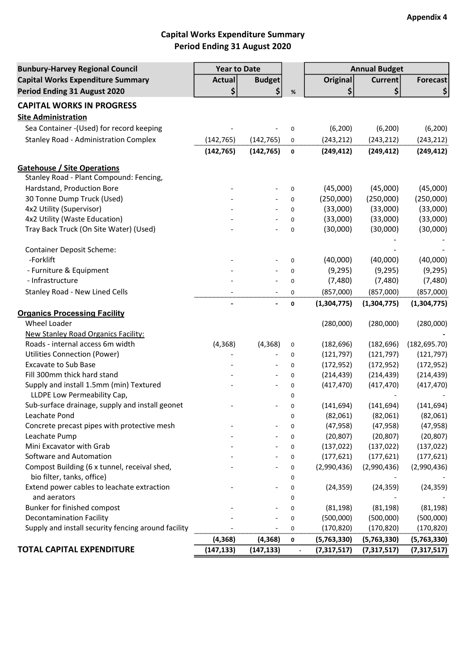# Capital Works Expenditure Summary Period Ending 31 August 2020

| <b>Bunbury-Harvey Regional Council</b>              | <b>Year to Date</b> |                          |      | <b>Annual Budget</b> |                |               |
|-----------------------------------------------------|---------------------|--------------------------|------|----------------------|----------------|---------------|
| <b>Capital Works Expenditure Summary</b>            | <b>Actual</b>       | <b>Budget</b>            |      | <b>Original</b>      | <b>Current</b> | Forecast      |
| Period Ending 31 August 2020                        | \$                  | \$                       | $\%$ | \$                   | \$             | \$            |
| <b>CAPITAL WORKS IN PROGRESS</b>                    |                     |                          |      |                      |                |               |
| <b>Site Administration</b>                          |                     |                          |      |                      |                |               |
| Sea Container - (Used) for record keeping           |                     |                          | 0    | (6, 200)             | (6, 200)       | (6, 200)      |
| <b>Stanley Road - Administration Complex</b>        | (142, 765)          |                          |      |                      |                |               |
|                                                     |                     | (142, 765)               | 0    | (243, 212)           | (243, 212)     | (243, 212)    |
|                                                     | (142, 765)          | (142, 765)               | 0    | (249, 412)           | (249, 412)     | (249, 412)    |
| <b>Gatehouse / Site Operations</b>                  |                     |                          |      |                      |                |               |
| Stanley Road - Plant Compound: Fencing,             |                     |                          |      |                      |                |               |
| Hardstand, Production Bore                          |                     |                          | 0    | (45,000)             | (45,000)       | (45,000)      |
| 30 Tonne Dump Truck (Used)                          |                     |                          | 0    | (250,000)            | (250,000)      | (250,000)     |
| 4x2 Utility (Supervisor)                            |                     |                          | 0    | (33,000)             | (33,000)       | (33,000)      |
| 4x2 Utility (Waste Education)                       |                     |                          | 0    | (33,000)             | (33,000)       | (33,000)      |
| Tray Back Truck (On Site Water) (Used)              |                     |                          | 0    | (30,000)             | (30,000)       | (30,000)      |
|                                                     |                     |                          |      |                      |                |               |
| <b>Container Deposit Scheme:</b>                    |                     |                          |      |                      |                |               |
| -Forklift                                           |                     |                          | 0    | (40,000)             | (40,000)       | (40,000)      |
| - Furniture & Equipment                             |                     |                          | 0    | (9, 295)             | (9, 295)       | (9, 295)      |
| - Infrastructure                                    |                     |                          | 0    | (7,480)              | (7,480)        | (7,480)       |
| <b>Stanley Road - New Lined Cells</b>               |                     |                          | 0    | (857,000)            | (857,000)      | (857,000)     |
|                                                     |                     |                          | 0    | (1,304,775)          | (1,304,775)    | (1,304,775)   |
| <b>Organics Processing Facility</b>                 |                     |                          |      |                      |                |               |
| Wheel Loader                                        |                     |                          |      | (280,000)            | (280,000)      | (280,000)     |
| <b>New Stanley Road Organics Facility:</b>          |                     |                          |      |                      |                |               |
| Roads - internal access 6m width                    | (4, 368)            | (4, 368)                 | 0    | (182, 696)           | (182, 696)     | (182, 695.70) |
| <b>Utilities Connection (Power)</b>                 |                     |                          | 0    | (121, 797)           | (121, 797)     | (121, 797)    |
| <b>Excavate to Sub Base</b>                         |                     |                          | 0    | (172, 952)           | (172, 952)     | (172, 952)    |
| Fill 300mm thick hard stand                         |                     |                          | 0    | (214, 439)           | (214, 439)     | (214, 439)    |
| Supply and install 1.5mm (min) Textured             |                     | $\overline{\phantom{a}}$ | 0    | (417, 470)           | (417, 470)     | (417, 470)    |
| LLDPE Low Permeability Cap,                         |                     |                          | 0    |                      |                |               |
| Sub-surface drainage, supply and install geonet     |                     |                          | 0    | (141, 694)           | (141, 694)     | (141, 694)    |
| Leachate Pond                                       |                     |                          | 0    | (82,061)             | (82,061)       | (82,061)      |
| Concrete precast pipes with protective mesh         |                     |                          | 0    | (47, 958)            | (47, 958)      | (47, 958)     |
| Leachate Pump                                       |                     |                          | 0    | (20, 807)            | (20, 807)      | (20, 807)     |
| Mini Excavator with Grab                            |                     |                          | 0    | (137, 022)           | (137, 022)     | (137, 022)    |
| Software and Automation                             |                     |                          | 0    | (177, 621)           | (177, 621)     | (177, 621)    |
| Compost Building (6 x tunnel, receival shed,        |                     |                          | 0    | (2,990,436)          | (2,990,436)    | (2,990,436)   |
| bio filter, tanks, office)                          |                     |                          | 0    |                      |                |               |
| Extend power cables to leachate extraction          |                     |                          | 0    | (24, 359)            | (24, 359)      | (24, 359)     |
| and aerators                                        |                     |                          | 0    |                      |                |               |
| Bunker for finished compost                         |                     |                          | 0    | (81, 198)            | (81, 198)      | (81, 198)     |
| <b>Decontamination Facility</b>                     |                     |                          | 0    | (500,000)            | (500,000)      | (500,000)     |
| Supply and install security fencing around facility |                     |                          | 0    | (170, 820)           | (170, 820)     | (170,820)     |
|                                                     | (4, 368)            | (4, 368)                 | 0    | (5,763,330)          | (5,763,330)    | (5,763,330)   |
| <b>TOTAL CAPITAL EXPENDITURE</b>                    | (147, 133)          | (147, 133)               |      | (7,317,517)          | (7,317,517)    | (7,317,517)   |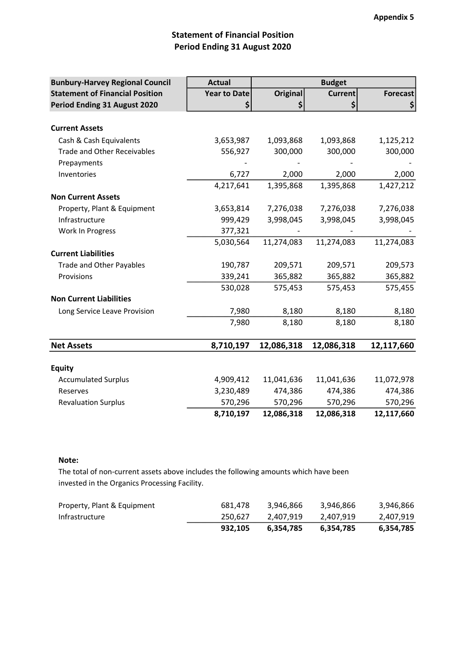# Statement of Financial Position Period Ending 31 August 2020

| <b>Bunbury-Harvey Regional Council</b> | <b>Actual</b>       |                 | <b>Budget</b>  |                 |
|----------------------------------------|---------------------|-----------------|----------------|-----------------|
| <b>Statement of Financial Position</b> | <b>Year to Date</b> | <b>Original</b> | <b>Current</b> | <b>Forecast</b> |
| Period Ending 31 August 2020           | \$                  | \$              | \$             | \$              |
|                                        |                     |                 |                |                 |
| <b>Current Assets</b>                  |                     |                 |                |                 |
| Cash & Cash Equivalents                | 3,653,987           | 1,093,868       | 1,093,868      | 1,125,212       |
| <b>Trade and Other Receivables</b>     | 556,927             | 300,000         | 300,000        | 300,000         |
| Prepayments                            |                     |                 |                |                 |
| Inventories                            | 6,727               | 2,000           | 2,000          | 2,000           |
|                                        | 4,217,641           | 1,395,868       | 1,395,868      | 1,427,212       |
| <b>Non Current Assets</b>              |                     |                 |                |                 |
| Property, Plant & Equipment            | 3,653,814           | 7,276,038       | 7,276,038      | 7,276,038       |
| Infrastructure                         | 999,429             | 3,998,045       | 3,998,045      | 3,998,045       |
| Work In Progress                       | 377,321             |                 |                |                 |
|                                        | 5,030,564           | 11,274,083      | 11,274,083     | 11,274,083      |
| <b>Current Liabilities</b>             |                     |                 |                |                 |
| Trade and Other Payables               | 190,787             | 209,571         | 209,571        | 209,573         |
| Provisions                             | 339,241             | 365,882         | 365,882        | 365,882         |
|                                        | 530,028             | 575,453         | 575,453        | 575,455         |
| <b>Non Current Liabilities</b>         |                     |                 |                |                 |
| Long Service Leave Provision           | 7,980               | 8,180           | 8,180          | 8,180           |
|                                        | 7,980               | 8,180           | 8,180          | 8,180           |
|                                        |                     |                 |                |                 |
| <b>Net Assets</b>                      | 8,710,197           | 12,086,318      | 12,086,318     | 12,117,660      |
|                                        |                     |                 |                |                 |
| <b>Equity</b>                          |                     |                 |                |                 |
| <b>Accumulated Surplus</b>             | 4,909,412           | 11,041,636      | 11,041,636     | 11,072,978      |
| Reserves                               | 3,230,489           | 474,386         | 474,386        | 474,386         |
| <b>Revaluation Surplus</b>             | 570,296             | 570,296         | 570,296        | 570,296         |
|                                        | 8,710,197           | 12,086,318      | 12,086,318     | 12,117,660      |

### Note:

The total of non-current assets above includes the following amounts which have been invested in the Organics Processing Facility.

| Property, Plant & Equipment | 681.478 | 3.946.866 | 3.946.866 | 3,946,866 |
|-----------------------------|---------|-----------|-----------|-----------|
| Infrastructure              | 250.627 | 2.407.919 | 2,407,919 | 2.407.919 |
|                             | 932.105 | 6.354.785 | 6.354.785 | 6,354,785 |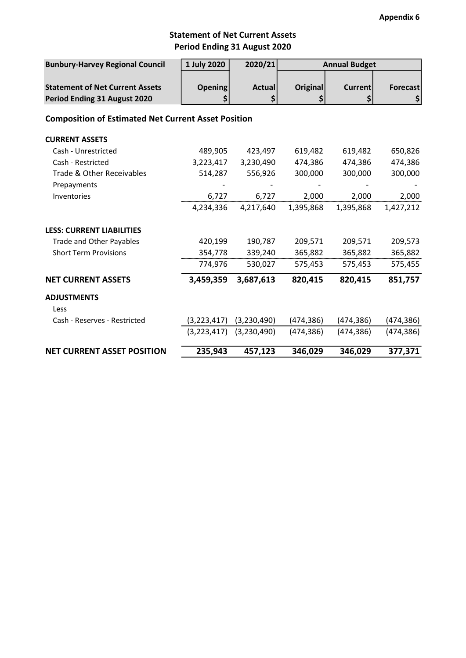## Period Ending 31 August 2020 Statement of Net Current Assets

| <b>Bunbury-Harvey Regional Council</b>                     | 1 July 2020    | 2020/21       | <b>Annual Budget</b> |                |                 |
|------------------------------------------------------------|----------------|---------------|----------------------|----------------|-----------------|
|                                                            |                |               |                      |                |                 |
| <b>Statement of Net Current Assets</b>                     | <b>Opening</b> | <b>Actual</b> | <b>Original</b>      | <b>Current</b> | <b>Forecast</b> |
| Period Ending 31 August 2020                               | \$             | \$            | \$                   | \$             | \$              |
| <b>Composition of Estimated Net Current Asset Position</b> |                |               |                      |                |                 |
| <b>CURRENT ASSETS</b>                                      |                |               |                      |                |                 |
| Cash - Unrestricted                                        | 489,905        | 423,497       | 619,482              | 619,482        | 650,826         |
| Cash - Restricted                                          | 3,223,417      | 3,230,490     | 474,386              | 474,386        | 474,386         |
| Trade & Other Receivables                                  | 514,287        | 556,926       | 300,000              | 300,000        | 300,000         |
| Prepayments                                                |                |               |                      |                |                 |
| Inventories                                                | 6,727          | 6,727         | 2,000                | 2,000          | 2,000           |
|                                                            | 4,234,336      | 4,217,640     | 1,395,868            | 1,395,868      | 1,427,212       |
| <b>LESS: CURRENT LIABILITIES</b>                           |                |               |                      |                |                 |
| <b>Trade and Other Payables</b>                            | 420,199        | 190,787       | 209,571              | 209,571        | 209,573         |
| <b>Short Term Provisions</b>                               | 354,778        | 339,240       | 365,882              | 365,882        | 365,882         |
|                                                            | 774,976        | 530,027       | 575,453              | 575,453        | 575,455         |
| <b>NET CURRENT ASSETS</b>                                  | 3,459,359      | 3,687,613     | 820,415              | 820,415        | 851,757         |
| <b>ADJUSTMENTS</b>                                         |                |               |                      |                |                 |
| Less                                                       |                |               |                      |                |                 |
| Cash - Reserves - Restricted                               | (3, 223, 417)  | (3,230,490)   | (474, 386)           | (474,386)      | (474, 386)      |
|                                                            | (3,223,417)    | (3,230,490)   | (474, 386)           | (474, 386)     | (474, 386)      |
| <b>NET CURRENT ASSET POSITION</b>                          | 235,943        | 457,123       | 346,029              | 346,029        | 377,371         |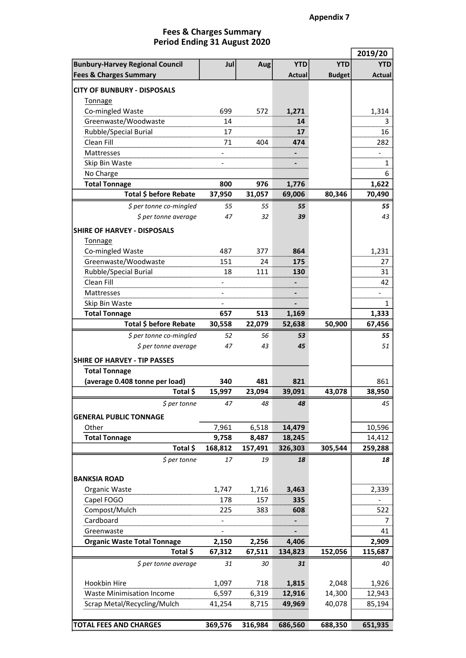#### Period Ending 31 August 2020 Fees & Charges Summary

|                                                  |               |               |               |               | 2019/20       |
|--------------------------------------------------|---------------|---------------|---------------|---------------|---------------|
| <b>Bunbury-Harvey Regional Council</b>           | Jul           | Aug           | <b>YTD</b>    | <b>YTD</b>    | <b>YTD</b>    |
| <b>Fees &amp; Charges Summary</b>                |               |               | Actual        | <b>Budget</b> | <b>Actual</b> |
| <b>CITY OF BUNBURY - DISPOSALS</b>               |               |               |               |               |               |
| Tonnage                                          |               |               |               |               |               |
| Co-mingled Waste                                 | 699           | 572           | 1,271         |               | 1,314         |
| Greenwaste/Woodwaste                             |               |               | 14            |               | 3             |
| Rubble/Special Burial                            | 17            |               | 17            |               | 16            |
| Clean Fill                                       | 71            | 404           | 474           |               | 282           |
| Mattresses                                       |               |               |               |               |               |
| Skip Bin Waste                                   |               |               |               |               |               |
| No Charge                                        |               |               |               |               | 6             |
| <b>Total Tonnage</b>                             | 800           | 976           | 1,776         |               | 1,622         |
| Total \$ before Rebate                           | 37,950        | 31,057        | 69,006        | 80,346        | 70,490        |
| \$ per tonne co-mingled                          | 55            | 55            | 55            |               | 55            |
| \$ per tonne average                             | 47            | 32            | 39            |               | 43            |
| <b>SHIRE OF HARVEY - DISPOSALS</b>               |               |               |               |               |               |
| Tonnage                                          |               |               |               |               |               |
| Co-mingled Waste                                 | 487           | 377           | 864           |               | 1,231         |
| Greenwaste/Woodwaste                             | 151           | 24            | 175           |               | 27            |
| Rubble/Special Burial                            | 18            | 111           | 130           |               | 31            |
| Clean Fill                                       |               |               |               |               | 42            |
| Mattresses                                       |               |               |               |               |               |
| Skip Bin Waste                                   |               |               |               |               | 1             |
| <b>Total Tonnage</b>                             | 657           | 513           | 1,169         |               | 1,333         |
| Total \$ before Rebate                           | 30,558        | 22,079        | 52,638        | 50,900        | 67,456        |
| \$ per tonne co-mingled                          | 52            | 56            | 53            |               | 55            |
| \$ per tonne average                             | 47            | 43            | 45            |               | 51            |
|                                                  |               |               |               |               |               |
| <b>SHIRE OF HARVEY - TIP PASSES</b>              |               |               |               |               |               |
| <b>Total Tonnage</b>                             |               |               |               |               |               |
| (average 0.408 tonne per load)<br>Total \$       | 340<br>15,997 | 481<br>23,094 | 821<br>39,091 | 43,078        | 861<br>38,950 |
|                                                  |               |               |               |               |               |
| $$$ per tonne                                    | 47            | 48            | 48            |               | 45            |
| <b>GENERAL PUBLIC TONNAGE</b>                    |               |               |               |               |               |
| Other                                            | 7,961         | 6,518         | 14,479        |               | 10,596        |
| <b>Total Tonnage</b>                             | 9,758         | 8,487         | 18,245        |               | 14,412        |
| Total \$                                         | 168,812       | 157,491       | 326,303       | 305,544       | 259,288       |
| $$$ per tonne                                    | 17            | 19            | 18            |               | 18            |
|                                                  |               |               |               |               |               |
| <b>BANKSIA ROAD</b>                              |               |               |               |               |               |
| Organic Waste                                    | 1,747         | 1,716         | 3,463         |               | 2,339         |
| Capel FOGO                                       | 178           | 157           | 335           |               |               |
| Compost/Mulch                                    | 225           | 383           | 608           |               | 522           |
| Cardboard                                        |               |               |               |               | 7             |
| Greenwaste<br><b>Organic Waste Total Tonnage</b> | 2,150         | 2,256         | 4,406         |               | 41<br>2,909   |
| Total \$                                         | 67,312        | 67,511        | 134,823       | 152,056       | 115,687       |
|                                                  |               |               |               |               |               |
| \$ per tonne average                             | 31            | 30            | 31            |               | 40            |
| Hookbin Hire                                     | 1,097         | 718           | 1,815         | 2,048         | 1,926         |
| <b>Waste Minimisation Income</b>                 | 6,597         | 6,319         | 12,916        | 14,300        | 12,943        |
| Scrap Metal/Recycling/Mulch                      | 41,254        | 8,715         | 49,969        | 40,078        | 85,194        |
|                                                  |               |               |               |               |               |
| <b>TOTAL FEES AND CHARGES</b>                    | 369,576       | 316,984       | 686,560       | 688,350       | 651,935       |